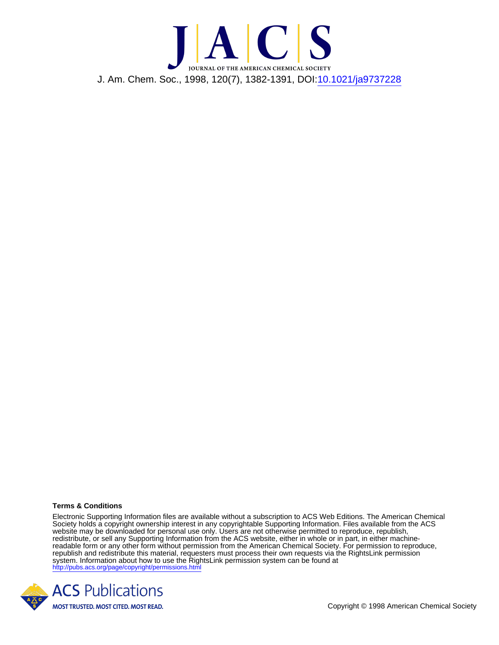

## **Terms & Conditions**

Electronic Supporting Information files are available without a subscription to ACS Web Editions. The American Chemical Society holds a copyright ownership interest in any copyrightable Supporting Information. Files available from the ACS website may be downloaded for personal use only. Users are not otherwise permitted to reproduce, republish, redistribute, or sell any Supporting Information from the ACS website, either in whole or in part, in either machinereadable form or any other form without permission from the American Chemical Society. For permission to reproduce, republish and redistribute this material, requesters must process their own requests via the RightsLink permission system. Information about how to use the RightsLink permission system can be found at <http://pubs.acs.org/page/copyright/permissions.html>



Copyright © 1998 American Chemical Society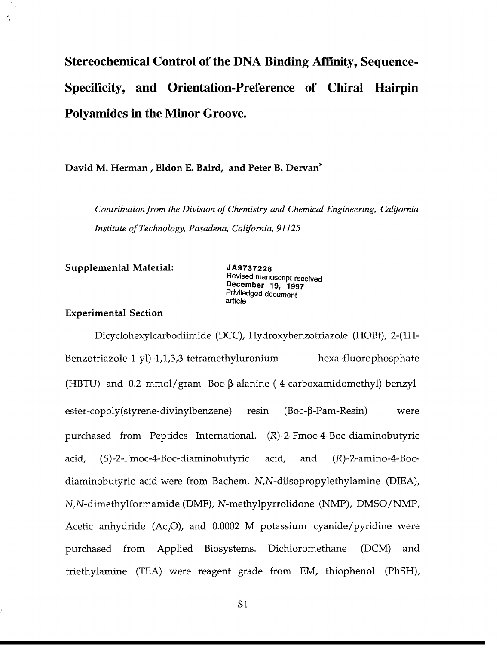## **Stereochemical Control of the DNA Binding Affinity, Sequence-Specificity, and Orientation-Preference of Chiral Hairpin Polyamides in the Minor Groove.**

**David M. Herman, Eldon E. Baird, and Peter B. Dervan\***

*Contribution from the Division of Chemistry and Chemical Engineering, California Institute of Technology, Pasadena, California, 91125*

**Supplemental Material:** *JA9737228*<br> **Revised manuscript received**<br> **December 19, 1997 Priviledged document** article

## **Experimental Section**

Dicyclohexylcarbodiimide **(DCC),** Hydroxybenzotriazole (HOBt), 2-(1H-Benzotriazole-1-yl)- 1,1,3,3-tetramethyluronium hexa-fluorophosphate **(HBTU)** and 0.2 mmol/gram Boc-p-alanine-(-4-carboxamidomethyl)-benzylester-copoly(styrene-divinylbenzene) resin (Boc-β-Pam-Resin) were purchased from Peptides International. (R)-2-Fmoc-4-Boc-diaminobutyric acid, (S)-2-Fmoc-4-Boc-diaminobutyric acid, and (R)-2-amino-4-Bocdiaminobutyric acid were from Bachem. N,N-diisopropylethylamine (DIEA), N,N-dimethylformamide (DMF), N-methylpyrrolidone **(NMP), DMSO/NMP,** Acetic anhydride  $(Ac, O)$ , and 0.0002 M potassium cyanide/pyridine were purchased from Applied Biosystems. Dichloromethane **(DCM)** and triethylamine **(TEA)** were reagent grade from EM, thiophenol **(PhSH),**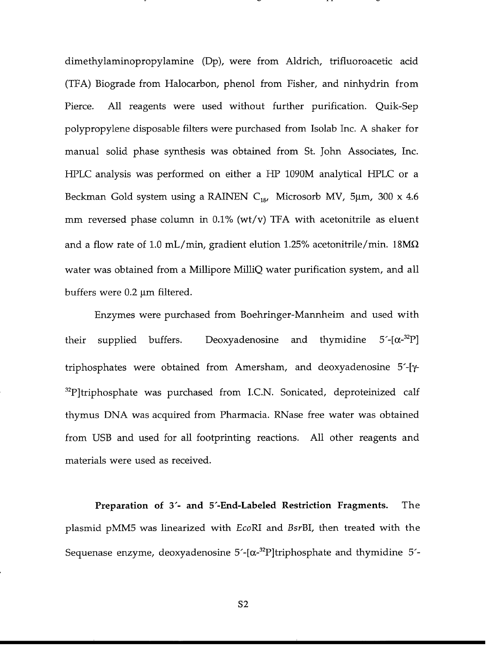dimethylaminopropylamine **(Dp),** were from Aldrich, trifluoroacetic acid **(TFA)** Biograde from Halocarbon, phenol from Fisher, and ninhydrin from Pierce. **All** reagents were used without further purification. Quik-Sep polypropylene disposable filters were purchased from Isolab Inc. **A** shaker for manual solid phase synthesis was obtained from St. John Associates, Inc. HPLC analysis was performed on either a HP 1090M analytical HPLC or a Beckman Gold system using a RAINEN C<sub>18</sub>, Microsorb MV, 5µm, 300 x 4.6 mm reversed phase column in **0.1%** (wt/v) **TFA** with acetonitrile as eluent and a flow rate of **1.0** mL/min, gradient elution **1.25%** acetonitrile/min. **18ML2** water was obtained from a Millipore MilliQ water purification system, and all buffers were 0.2 μm filtered.

Enzymes were purchased from Boehringer-Mannheim and used with their supplied buffers. Deoxyadenosine and thymidine  $5-[{\alpha}^{32}P]$ triphosphates were obtained from Amersham, and deoxyadenosine **5'-[y-** $32$ P]triphosphate was purchased from I.C.N. Sonicated, deproteinized calf thymus **DNA** was acquired from Pharmacia. RNase free water was obtained from **USB** and used for all footprinting reactions. **All** other reagents and materials were used as received.

Preparation of **3'- and 5'-End-Labeled Restriction Fragments.** The plasmid **pMM5** was linearized with EcoRI and BsrBI, then treated with the Sequenase enzyme, deoxyadenosine  $5-[{\alpha}^{32}P]$ triphosphate and thymidine  $5'-$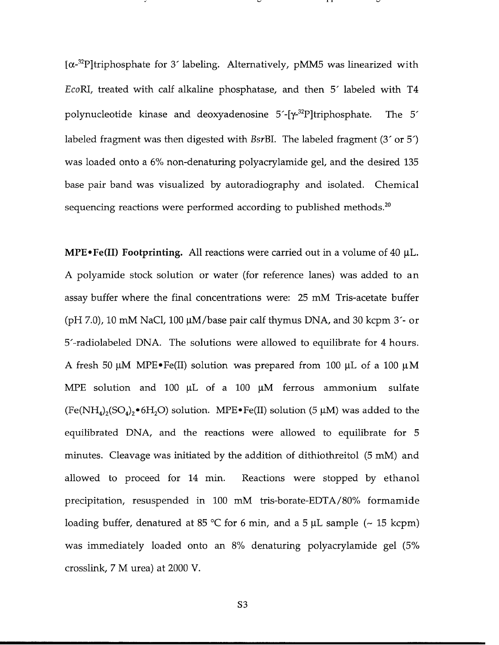[c- <sup>32</sup> Ptriphosphate for **3'** labeling. Alternatively, **pMM5** was linearized with EcoRI, treated with calf alkaline phosphatase, and then **5'** labeled with T4 polynucleotide kinase and deoxyadenosine 5'-[y-32P]triphosphate. The **5'** labeled fragment was then digested with BsrBI. The labeled fragment **(3'** or **5')** was loaded onto a **6%** non-denaturing polyacrylamide gel, and the desired **135** base pair band was visualized **by** autoradiography and isolated. Chemical sequencing reactions were performed according to published methods. $20$ 

**MPE** $\cdot$ Fe(II) Footprinting. All reactions were carried out in a volume of 40  $\mu$ L. **A** polyamide stock solution or water (for reference lanes) was added to an assay buffer where the final concentrations were: **25** mM Tris-acetate buffer **(pH 7.0), 10** mM NaCl, **100** jiM/base pair calf thymus **DNA,** and **30** kcpm **3'-** or 5'-radiolabeled **DNA.** The solutions were allowed to equilibrate for 4 hours. **A** fresh **50 gM** MPE\*Fe(II) solution was prepared from **100** pL of a **100 gM** MPE solution and 100 µL of a 100 µM ferrous ammonium sulfate  $(Fe(NH_4)_2 (SO_4)_2 \cdot 6H_2 O)$  solution. MPE $\cdot$ Fe(II) solution (5  $\mu$ M) was added to the equilibrated **DNA,** and the reactions were allowed to equilibrate for **5** minutes. Cleavage was initiated **by** the addition of dithiothreitol **(5** mM) and allowed to proceed for 14 min. Reactions were stopped **by** ethanol precipitation, resuspended in **100** mM tris-borate-EDTA/80% formamide loading buffer, denatured at **85 'C** for **6** min, and a **5 gL** sample **(- 15** kcpm) was immediately loaded onto an **8%** denaturing polyacrylamide gel **(5%** crosslink, **7** M urea) at 2000 V.

**S3**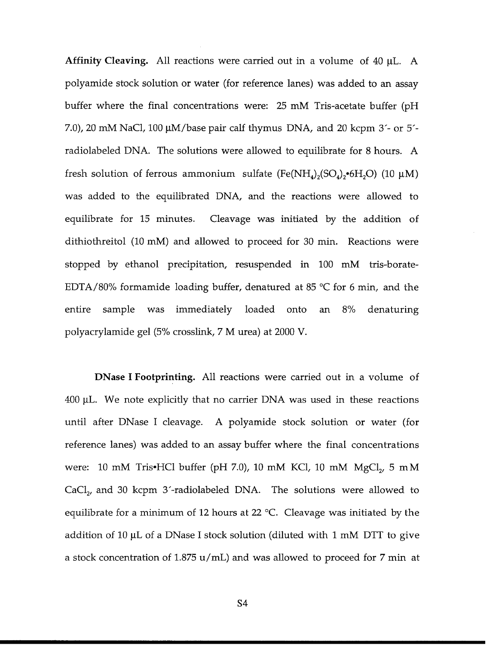**Affinity Cleaving. All** reactions were carried out in a volume of 40 pL. **A** polyamide stock solution or water (for reference lanes) was added to an assay buffer where the final concentrations were: **25** mM Tris-acetate buffer **(pH 7.0),** 20 mM NaCl, **100** gM/base pair calf thymus **DNA,** and 20 kcpm **3'-** or **5'** radiolabeled **DNA.** The solutions were allowed to equilibrate for **8** hours. **A** fresh solution of ferrous ammonium sulfate  $(Fe(NH_4)_2(SO_4)_2 \cdot 6H_2O)$  (10  $\mu$ M) was added to the equilibrated **DNA,** and the reactions were allowed to equilibrate for **15** minutes. Cleavage was initiated **by** the addition of dithiothreitol **(10** mM) and allowed to proceed for **30** min. Reactions were stopped **by** ethanol precipitation, resuspended in **100** mM tris-borate-**EDTA/80%** formamide loading buffer, denatured at **85 oC** for **6** min, and the entire sample was immediately loaded onto an **8%** denaturing polyacrylamide gel **(5%** crosslink, **7** M urea) at 2000 V.

DNase **I** Footprinting. **All** reactions were carried out in a volume of 400 **gL.** We note explicitly that no carrier **DNA** was used in these reactions until after DNase I cleavage. **A** polyamide stock solution or water (for reference lanes) was added to an assay buffer where the final concentrations were: 10 mM Tris•HCl buffer (pH 7.0), 10 mM KCl, 10 mM MgCl<sub>2</sub>, 5 mM CaCl, and **30** kcpm 3'-radiolabeled **DNA.** The solutions were allowed to equilibrate for a minimum of 12 hours at 22 **oC.** Cleavage was initiated **by** the addition of **10 gL** of a DNase **I** stock solution (diluted with **1** mM DTT to give a stock concentration of **1.875** u/mL) and was allowed to proceed for **7** min at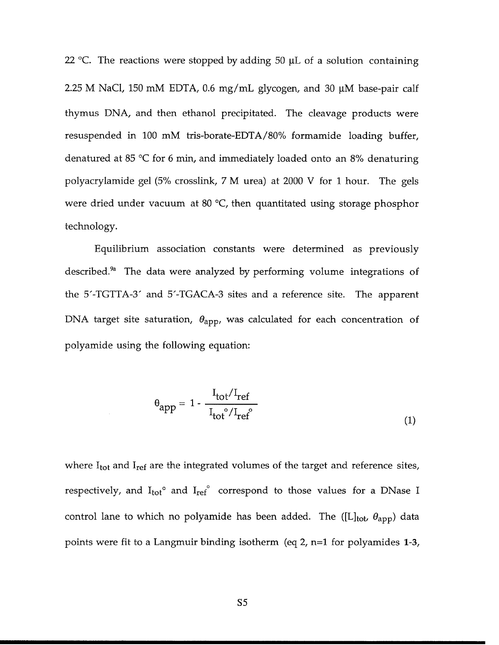22 **oC.** The reactions were stopped **by** adding **50 gL** of a solution containing **2.25** M NaC1, **150** mM **EDTA, 0.6** mg/mL glycogen, and **30** RM base-pair calf thymus **DNA,** and then ethanol precipitated. The cleavage products were resuspended in **100** mM tris-borate-EDTA/80% formamide loading buffer, denatured at **85 oC** for **6** min, and immediately loaded onto an **8%** denaturing polyacrylamide gel **(5%** crosslink, **7** M urea) at 2000 V for **1** hour. The gels were dried under vacuum at 80 °C, then quantitated using storage phosphor technology.

Equilibrium association constants were determined as previously described.9a The data were analyzed **by** performing volume integrations of the **5'-TGTTA-3'** and **5'-TGACA-3** sites and a reference site. The apparent DNA target site saturation,  $\theta_{app}$ , was calculated for each concentration of polyamide using the following equation:

$$
\theta_{app} = 1 - \frac{I_{tot}/I_{ref}}{I_{tot}^{\circ}/I_{ref}^{\circ}}
$$
\n(1)

where  $I_{tot}$  and  $I_{ref}$  are the integrated volumes of the target and reference sites, respectively, and  $I_{tot}^{\circ}$  and  $I_{ref}^{\circ}$  correspond to those values for a DNase I control lane to which no polyamide has been added. The ([L]<sub>tot</sub>,  $\theta_{\rm app}$ ) data points were fit to a Langmuir binding isotherm (eq 2, n=1 for polyamides **1-3,**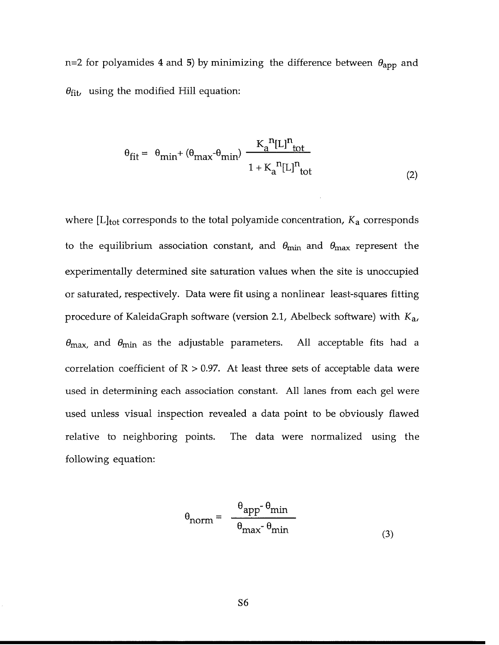n=2 for polyamides 4 and 5) by minimizing the difference between  $\theta_{\text{app}}$  and  $\theta_{\text{fit}}$ , using the modified Hill equation:

$$
\theta_{\text{fit}} = \theta_{\text{min}} + (\theta_{\text{max}} - \theta_{\text{min}}) \frac{K_a^{n}[L]^{n}_{\text{tot}}}{1 + K_a^{n}[L]^{n}_{\text{tot}}}
$$
(2)

where [L]<sub>tot</sub> corresponds to the total polyamide concentration,  $K_a$  corresponds to the equilibrium association constant, and  $\theta_{\text{min}}$  and  $\theta_{\text{max}}$  represent the experimentally determined site saturation values when the site is unoccupied or saturated, respectively. Data were fit using a nonlinear least-squares fitting procedure of KaleidaGraph software (version 2.1, Abelbeck software) with *Ka,*  $\theta_{\text{max}}$ , and  $\theta_{\text{min}}$  as the adjustable parameters. All acceptable fits had a correlation coefficient of  $R > 0.97$ . At least three sets of acceptable data were used in determining each association constant. **All** lanes from each gel were used unless visual inspection revealed a data point to be obviously flawed relative to neighboring points. The data were normalized using the following equation:

$$
\theta_{\text{norm}} = \frac{\theta_{\text{app}} - \theta_{\text{min}}}{\theta_{\text{max}} - \theta_{\text{min}}}
$$
(3)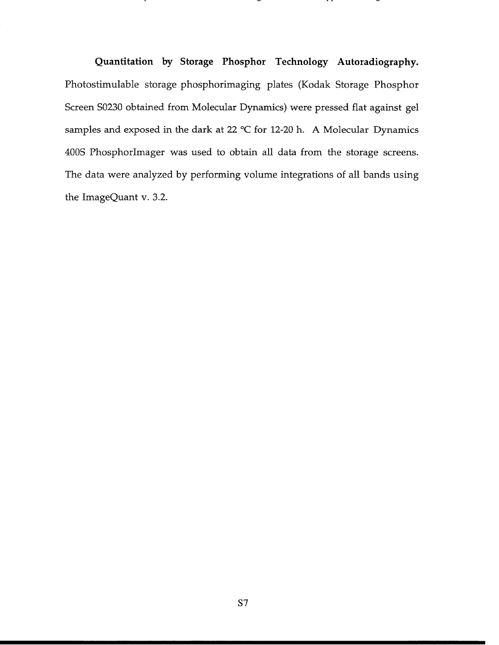**Quantitation by Storage Phosphor Technology Autoradiography.** Photostimulable storage phosphorimaging plates (Kodak Storage Phosphor Screen **S0230** obtained from Molecular Dynamics) were pressed flat against gel samples and exposed in the dark at 22 **'C** for 12-20 h. **A** Molecular Dynamics 400S Phosphorlmager was used to obtain all data from the storage screens. The data were analyzed **by** performing volume integrations of all bands using the ImageQuant v. **3.2.**

. .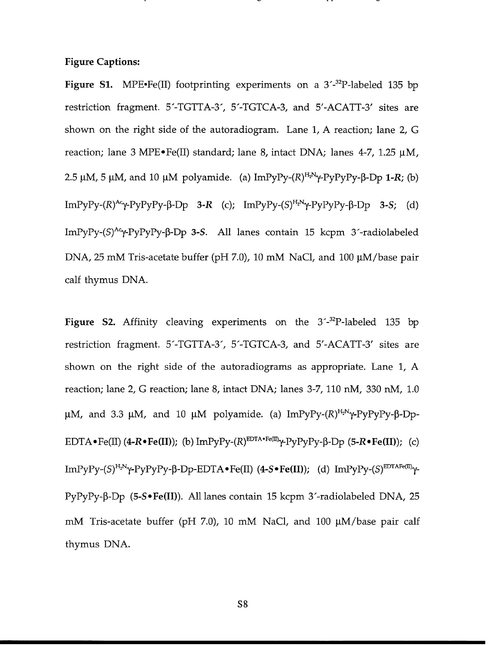## **Figure Captions:**

**Figure S1.** MPE•Fe(II) footprinting experiments on a 3´-<sup>32</sup>P-labeled 135 bp restriction fragment. **5'-TGTTA-3', 5'-TGTCA-3,** and **5'-ACATT-3'** sites are shown on the right side of the autoradiogram. Lane **1, A** reaction; lane 2, **G** reaction; lane **3** MPE\*Fe(II) standard; lane **8,** intact **DNA;** lanes 4-7, **1.25 gM,** 2.5  $\mu$ M, 5  $\mu$ M, and 10  $\mu$ M polyamide. (a) ImPyPy- $(R)^{H_2N} \gamma$ -PyPyPy- $\beta$ -Dp 1-R; (b)  $ImPyPy-(R)^{Ac}y-PyPyPy-B-Dp$  **3-R** (c);  $ImPyPy-(S)^{H_2N}y-PyPyPy-B-Dp$  **3-S**; (d) ImPyPy-(S)<sup>Ac</sup>γ-PyPyPy-β-Dp 3-S. All lanes contain 15 kcpm 3'-radiolabeled **DNA, 25** mM Tris-acetate buffer **(pH 7.0), 10** mM NaCl, and **100** gM/base pair calf thymus **DNA.**

**Figure S2.** Affinity cleaving experiments on the 3<sup>-32</sup>P-labeled 135 bp restriction fragment. **5'-TGTTA-3', 5'-TGTCA-3,** and **5'-ACATT-3'** sites are shown on the right side of the autoradiograms as appropriate. Lane **1, A** reaction; lane 2, **G** reaction; lane **8,** intact **DNA;** lanes **3-7, 110** nM, **330** nM, **1.0**  $\mu$ M, and 3.3  $\mu$ M, and 10  $\mu$ M polyamide. (a) ImPyPy-(R)<sup>H<sub>2</sub>N</sup>Y-PyPyPy- $\beta$ -Dp-EDTA  $\bullet$  Fe(II) (4-R $\bullet$  Fe(II)); (b) ImPyPy-(R)<sup>EDTA $\bullet$ Fe(II) $\gamma$ -PyPyPy- $\beta$ -Dp (5-R $\bullet$  Fe(II)); (c)</sup>  $ImPyPy-(S)^{H_2N}Y+PyPyPy-B-Dp-EDTA\bullet Fe(II)$  (4-S $\bullet Fe(II)$ ); (d)  $ImPyPy-(S)^{EDTAFe(II)}Y-$ **PyPyPy-p-Dp (5-S \*Fe(II)). All** lanes contain **15** kcpm 3'-radiolabeled **DNA, 25** mM Tris-acetate buffer **(pH 7.0), 10** mM NaCl, and **100** gM/base pair calf thymus **DNA.**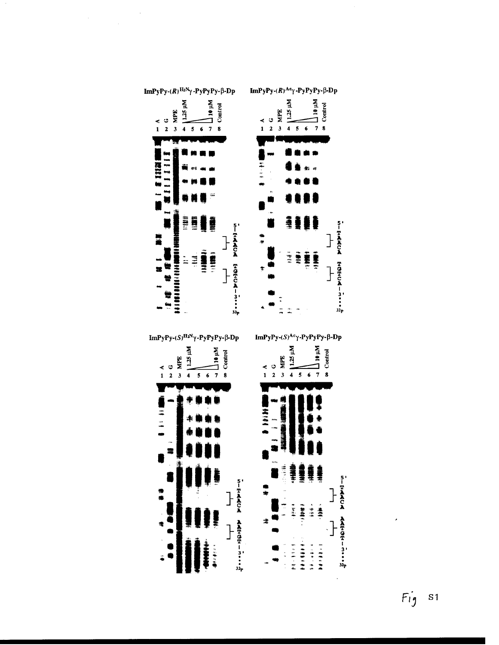

ImPyPy- $(R)$ <sup>H<sub>2</sub>N</sup> $\gamma$ -PyPyPy- $\beta$ -Dp

 $\bar{\beta}$ 

 $\sim 10$ 

ImPyPy- $(R)^{Ac}$ ? -PyPyPy- $\beta$ -Dp